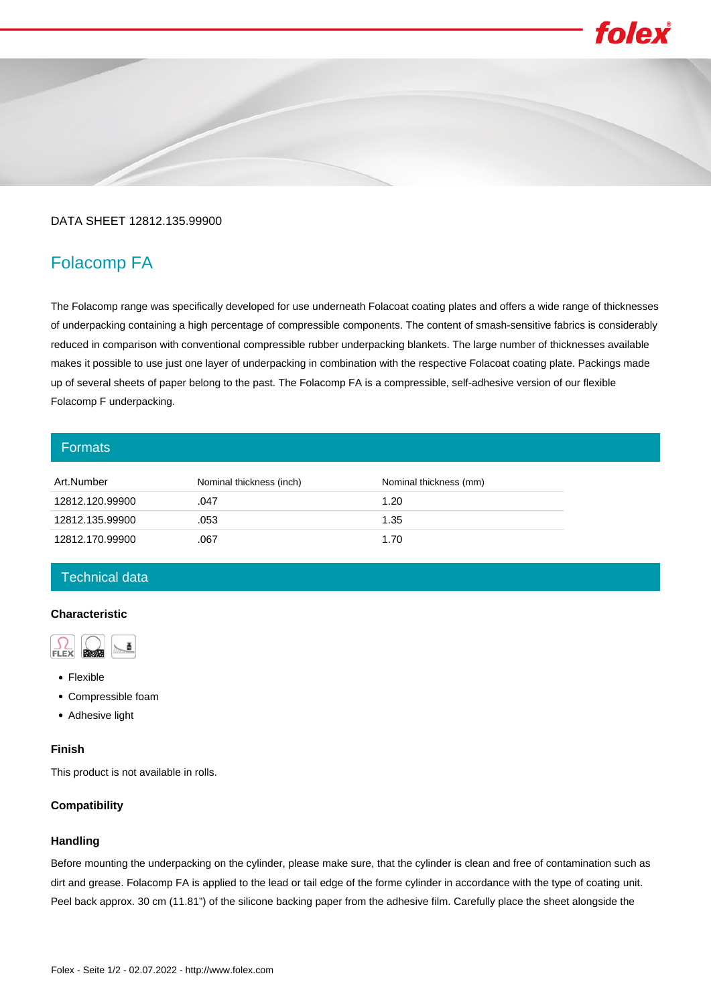# folex

### DATA SHEET 12812.135.99900

## Folacomp FA

The Folacomp range was specifically developed for use underneath Folacoat coating plates and offers a wide range of thicknesses of underpacking containing a high percentage of compressible components. The content of smash-sensitive fabrics is considerably reduced in comparison with conventional compressible rubber underpacking blankets. The large number of thicknesses available makes it possible to use just one layer of underpacking in combination with the respective Folacoat coating plate. Packings made up of several sheets of paper belong to the past. The Folacomp FA is a compressible, self-adhesive version of our flexible Folacomp F underpacking.

#### **Formats**

| Art.Number      | Nominal thickness (inch) | Nominal thickness (mm) |
|-----------------|--------------------------|------------------------|
| 12812.120.99900 | .047                     | 1.20                   |
| 12812.135.99900 | .053                     | 1.35                   |
| 12812.170.99900 | .067                     | 1.70                   |

#### Technical data

#### **Characteristic**



- Flexible
- Compressible foam
- Adhesive light

#### **Finish**

This product is not available in rolls.

#### **Compatibility**

#### **Handling**

Before mounting the underpacking on the cylinder, please make sure, that the cylinder is clean and free of contamination such as dirt and grease. Folacomp FA is applied to the lead or tail edge of the forme cylinder in accordance with the type of coating unit. Peel back approx. 30 cm (11.81") of the silicone backing paper from the adhesive film. Carefully place the sheet alongside the